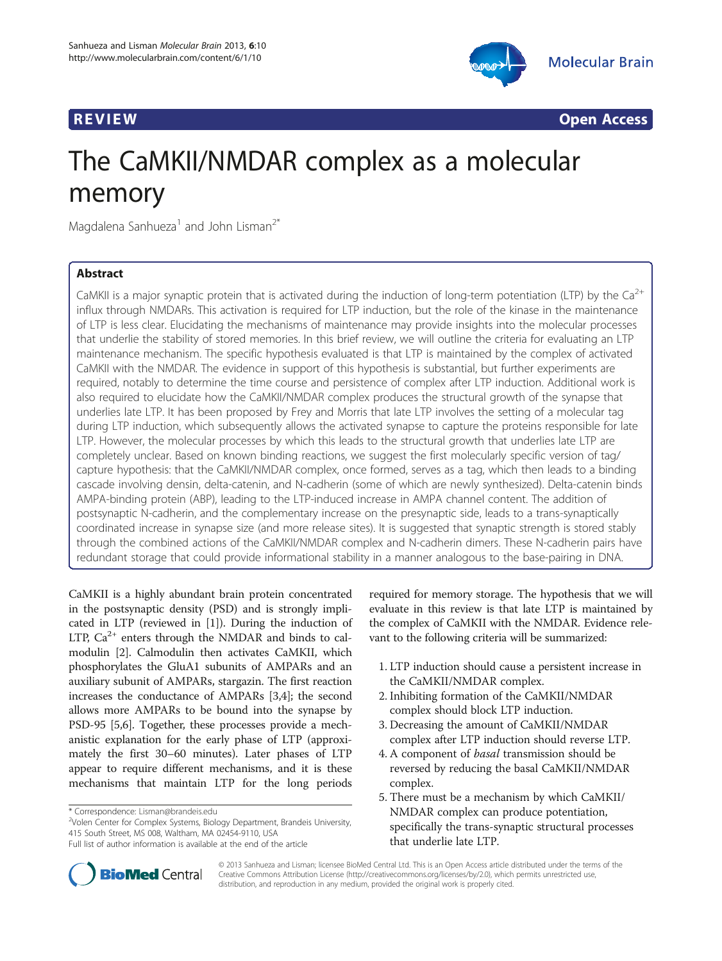



**REVIEW CONSTRUCTION CONSTRUCTION CONSTRUCTS** 

# The CaMKII/NMDAR complex as a molecular memory

Magdalena Sanhueza<sup>1</sup> and John Lisman<sup>2\*</sup>

# Abstract

CaMKII is a major synaptic protein that is activated during the induction of long-term potentiation (LTP) by the Ca<sup>2+</sup> influx through NMDARs. This activation is required for LTP induction, but the role of the kinase in the maintenance of LTP is less clear. Elucidating the mechanisms of maintenance may provide insights into the molecular processes that underlie the stability of stored memories. In this brief review, we will outline the criteria for evaluating an LTP maintenance mechanism. The specific hypothesis evaluated is that LTP is maintained by the complex of activated CaMKII with the NMDAR. The evidence in support of this hypothesis is substantial, but further experiments are required, notably to determine the time course and persistence of complex after LTP induction. Additional work is also required to elucidate how the CaMKII/NMDAR complex produces the structural growth of the synapse that underlies late LTP. It has been proposed by Frey and Morris that late LTP involves the setting of a molecular tag during LTP induction, which subsequently allows the activated synapse to capture the proteins responsible for late LTP. However, the molecular processes by which this leads to the structural growth that underlies late LTP are completely unclear. Based on known binding reactions, we suggest the first molecularly specific version of tag/ capture hypothesis: that the CaMKII/NMDAR complex, once formed, serves as a tag, which then leads to a binding cascade involving densin, delta-catenin, and N-cadherin (some of which are newly synthesized). Delta-catenin binds AMPA-binding protein (ABP), leading to the LTP-induced increase in AMPA channel content. The addition of postsynaptic N-cadherin, and the complementary increase on the presynaptic side, leads to a trans-synaptically coordinated increase in synapse size (and more release sites). It is suggested that synaptic strength is stored stably through the combined actions of the CaMKII/NMDAR complex and N-cadherin dimers. These N-cadherin pairs have redundant storage that could provide informational stability in a manner analogous to the base-pairing in DNA.

CaMKII is a highly abundant brain protein concentrated in the postsynaptic density (PSD) and is strongly implicated in LTP (reviewed in [\[1](#page-6-0)]). During the induction of LTP,  $Ca^{2+}$  enters through the NMDAR and binds to calmodulin [\[2](#page-6-0)]. Calmodulin then activates CaMKII, which phosphorylates the GluA1 subunits of AMPARs and an auxiliary subunit of AMPARs, stargazin. The first reaction increases the conductance of AMPARs [\[3,4\]](#page-6-0); the second allows more AMPARs to be bound into the synapse by PSD-95 [\[5,6\]](#page-6-0). Together, these processes provide a mechanistic explanation for the early phase of LTP (approximately the first 30–60 minutes). Later phases of LTP appear to require different mechanisms, and it is these mechanisms that maintain LTP for the long periods

<sup>2</sup>Volen Center for Complex Systems, Biology Department, Brandeis University, 415 South Street, MS 008, Waltham, MA 02454-9110, USA

required for memory storage. The hypothesis that we will evaluate in this review is that late LTP is maintained by the complex of CaMKII with the NMDAR. Evidence relevant to the following criteria will be summarized:

- 1. LTP induction should cause a persistent increase in the CaMKII/NMDAR complex.
- 2. Inhibiting formation of the CaMKII/NMDAR complex should block LTP induction.
- 3. Decreasing the amount of CaMKII/NMDAR complex after LTP induction should reverse LTP.
- 4. A component of basal transmission should be reversed by reducing the basal CaMKII/NMDAR complex.
- 5. There must be a mechanism by which CaMKII/ NMDAR complex can produce potentiation, specifically the trans-synaptic structural processes that underlie late LTP.



© 2013 Sanhueza and Lisman; licensee BioMed Central Ltd. This is an Open Access article distributed under the terms of the Creative Commons Attribution License (<http://creativecommons.org/licenses/by/2.0>), which permits unrestricted use, distribution, and reproduction in any medium, provided the original work is properly cited.

<sup>\*</sup> Correspondence: [Lisman@brandeis.edu](mailto:Lisman@brandeis.edu) <sup>2</sup>

Full list of author information is available at the end of the article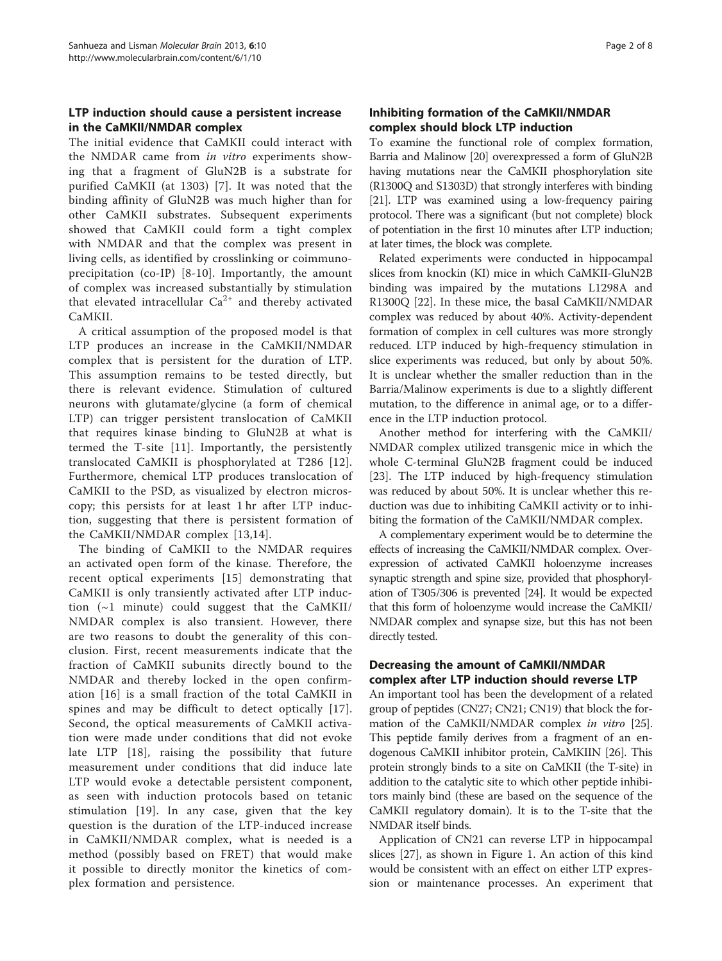# LTP induction should cause a persistent increase in the CaMKII/NMDAR complex

The initial evidence that CaMKII could interact with the NMDAR came from in vitro experiments showing that a fragment of GluN2B is a substrate for purified CaMKII (at 1303) [\[7](#page-6-0)]. It was noted that the binding affinity of GluN2B was much higher than for other CaMKII substrates. Subsequent experiments showed that CaMKII could form a tight complex with NMDAR and that the complex was present in living cells, as identified by crosslinking or coimmunoprecipitation (co-IP) [[8](#page-6-0)-[10\]](#page-6-0). Importantly, the amount of complex was increased substantially by stimulation that elevated intracellular  $Ca^{2+}$  and thereby activated CaMKII.

A critical assumption of the proposed model is that LTP produces an increase in the CaMKII/NMDAR complex that is persistent for the duration of LTP. This assumption remains to be tested directly, but there is relevant evidence. Stimulation of cultured neurons with glutamate/glycine (a form of chemical LTP) can trigger persistent translocation of CaMKII that requires kinase binding to GluN2B at what is termed the T-site [[11](#page-6-0)]. Importantly, the persistently translocated CaMKII is phosphorylated at T286 [[12\]](#page-6-0). Furthermore, chemical LTP produces translocation of CaMKII to the PSD, as visualized by electron microscopy; this persists for at least 1 hr after LTP induction, suggesting that there is persistent formation of the CaMKII/NMDAR complex [[13,14\]](#page-6-0).

The binding of CaMKII to the NMDAR requires an activated open form of the kinase. Therefore, the recent optical experiments [\[15](#page-6-0)] demonstrating that CaMKII is only transiently activated after LTP induction  $(\sim 1$  minute) could suggest that the CaMKII/ NMDAR complex is also transient. However, there are two reasons to doubt the generality of this conclusion. First, recent measurements indicate that the fraction of CaMKII subunits directly bound to the NMDAR and thereby locked in the open confirmation [[16](#page-6-0)] is a small fraction of the total CaMKII in spines and may be difficult to detect optically [[17](#page-6-0)]. Second, the optical measurements of CaMKII activation were made under conditions that did not evoke late LTP [\[18](#page-6-0)], raising the possibility that future measurement under conditions that did induce late LTP would evoke a detectable persistent component, as seen with induction protocols based on tetanic stimulation [\[19](#page-6-0)]. In any case, given that the key question is the duration of the LTP-induced increase in CaMKII/NMDAR complex, what is needed is a method (possibly based on FRET) that would make it possible to directly monitor the kinetics of complex formation and persistence.

## Inhibiting formation of the CaMKII/NMDAR complex should block LTP induction

To examine the functional role of complex formation, Barria and Malinow [[20](#page-6-0)] overexpressed a form of GluN2B having mutations near the CaMKII phosphorylation site (R1300Q and S1303D) that strongly interferes with binding [[21](#page-6-0)]. LTP was examined using a low-frequency pairing protocol. There was a significant (but not complete) block of potentiation in the first 10 minutes after LTP induction; at later times, the block was complete.

Related experiments were conducted in hippocampal slices from knockin (KI) mice in which CaMKII-GluN2B binding was impaired by the mutations L1298A and R1300Q [[22\]](#page-6-0). In these mice, the basal CaMKII/NMDAR complex was reduced by about 40%. Activity-dependent formation of complex in cell cultures was more strongly reduced. LTP induced by high-frequency stimulation in slice experiments was reduced, but only by about 50%. It is unclear whether the smaller reduction than in the Barria/Malinow experiments is due to a slightly different mutation, to the difference in animal age, or to a difference in the LTP induction protocol.

Another method for interfering with the CaMKII/ NMDAR complex utilized transgenic mice in which the whole C-terminal GluN2B fragment could be induced [[23\]](#page-6-0). The LTP induced by high-frequency stimulation was reduced by about 50%. It is unclear whether this reduction was due to inhibiting CaMKII activity or to inhibiting the formation of the CaMKII/NMDAR complex.

A complementary experiment would be to determine the effects of increasing the CaMKII/NMDAR complex. Overexpression of activated CaMKII holoenzyme increases synaptic strength and spine size, provided that phosphorylation of T305/306 is prevented [[24](#page-6-0)]. It would be expected that this form of holoenzyme would increase the CaMKII/ NMDAR complex and synapse size, but this has not been directly tested.

## Decreasing the amount of CaMKII/NMDAR complex after LTP induction should reverse LTP

An important tool has been the development of a related group of peptides (CN27; CN21; CN19) that block the for-mation of the CaMKII/NMDAR complex in vitro [[25](#page-6-0)]. This peptide family derives from a fragment of an endogenous CaMKII inhibitor protein, CaMKIIN [\[26](#page-6-0)]. This protein strongly binds to a site on CaMKII (the T-site) in addition to the catalytic site to which other peptide inhibitors mainly bind (these are based on the sequence of the CaMKII regulatory domain). It is to the T-site that the NMDAR itself binds.

Application of CN21 can reverse LTP in hippocampal slices [[27\]](#page-6-0), as shown in Figure [1.](#page-2-0) An action of this kind would be consistent with an effect on either LTP expression or maintenance processes. An experiment that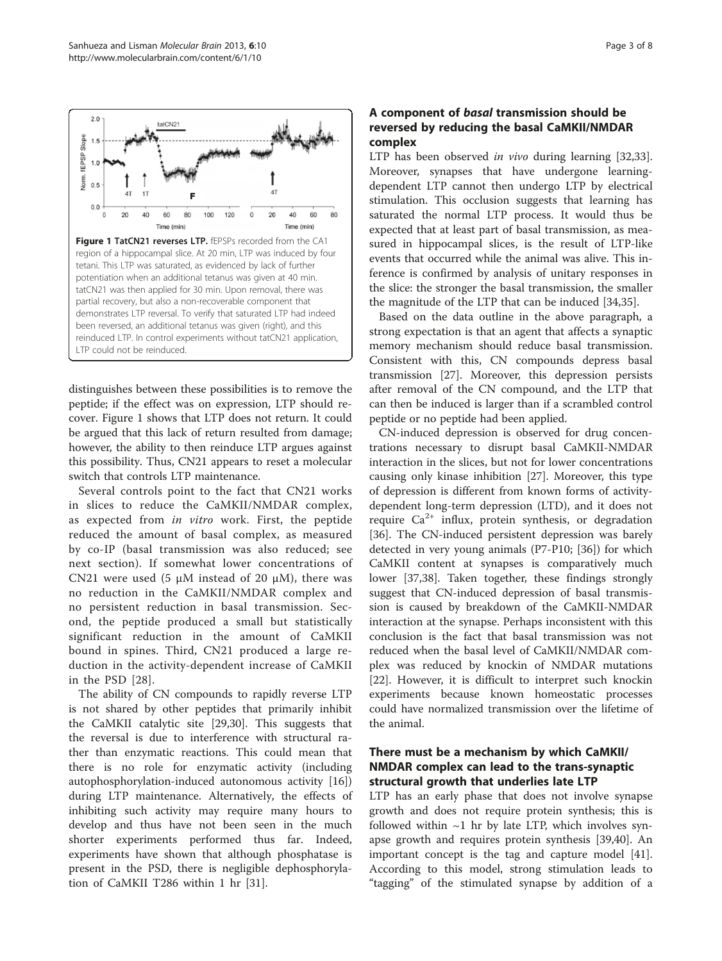<span id="page-2-0"></span>

distinguishes between these possibilities is to remove the peptide; if the effect was on expression, LTP should recover. Figure 1 shows that LTP does not return. It could be argued that this lack of return resulted from damage; however, the ability to then reinduce LTP argues against this possibility. Thus, CN21 appears to reset a molecular switch that controls LTP maintenance.

Several controls point to the fact that CN21 works in slices to reduce the CaMKII/NMDAR complex, as expected from in vitro work. First, the peptide reduced the amount of basal complex, as measured by co-IP (basal transmission was also reduced; see next section). If somewhat lower concentrations of CN21 were used (5  $\mu$ M instead of 20  $\mu$ M), there was no reduction in the CaMKII/NMDAR complex and no persistent reduction in basal transmission. Second, the peptide produced a small but statistically significant reduction in the amount of CaMKII bound in spines. Third, CN21 produced a large reduction in the activity-dependent increase of CaMKII in the PSD [[28](#page-6-0)].

The ability of CN compounds to rapidly reverse LTP is not shared by other peptides that primarily inhibit the CaMKII catalytic site [\[29,30](#page-6-0)]. This suggests that the reversal is due to interference with structural rather than enzymatic reactions. This could mean that there is no role for enzymatic activity (including autophosphorylation-induced autonomous activity [\[16](#page-6-0)]) during LTP maintenance. Alternatively, the effects of inhibiting such activity may require many hours to develop and thus have not been seen in the much shorter experiments performed thus far. Indeed, experiments have shown that although phosphatase is present in the PSD, there is negligible dephosphorylation of CaMKII T286 within 1 hr [[31\]](#page-6-0).

# A component of basal transmission should be reversed by reducing the basal CaMKII/NMDAR complex

LTP has been observed in vivo during learning [\[32,33](#page-6-0)]. Moreover, synapses that have undergone learningdependent LTP cannot then undergo LTP by electrical stimulation. This occlusion suggests that learning has saturated the normal LTP process. It would thus be expected that at least part of basal transmission, as measured in hippocampal slices, is the result of LTP-like events that occurred while the animal was alive. This inference is confirmed by analysis of unitary responses in the slice: the stronger the basal transmission, the smaller the magnitude of the LTP that can be induced [[34](#page-6-0),[35](#page-6-0)].

Based on the data outline in the above paragraph, a strong expectation is that an agent that affects a synaptic memory mechanism should reduce basal transmission. Consistent with this, CN compounds depress basal transmission [\[27](#page-6-0)]. Moreover, this depression persists after removal of the CN compound, and the LTP that can then be induced is larger than if a scrambled control peptide or no peptide had been applied.

CN-induced depression is observed for drug concentrations necessary to disrupt basal CaMKII-NMDAR interaction in the slices, but not for lower concentrations causing only kinase inhibition [[27\]](#page-6-0). Moreover, this type of depression is different from known forms of activitydependent long-term depression (LTD), and it does not require  $Ca^{2+}$  influx, protein synthesis, or degradation [[36\]](#page-6-0). The CN-induced persistent depression was barely detected in very young animals (P7-P10; [\[36](#page-6-0)]) for which CaMKII content at synapses is comparatively much lower [\[37,38\]](#page-6-0). Taken together, these findings strongly suggest that CN-induced depression of basal transmission is caused by breakdown of the CaMKII-NMDAR interaction at the synapse. Perhaps inconsistent with this conclusion is the fact that basal transmission was not reduced when the basal level of CaMKII/NMDAR complex was reduced by knockin of NMDAR mutations [[22\]](#page-6-0). However, it is difficult to interpret such knockin experiments because known homeostatic processes could have normalized transmission over the lifetime of the animal.

## There must be a mechanism by which CaMKII/ NMDAR complex can lead to the trans-synaptic structural growth that underlies late LTP

LTP has an early phase that does not involve synapse growth and does not require protein synthesis; this is followed within  $\sim$ 1 hr by late LTP, which involves synapse growth and requires protein synthesis [[39,40\]](#page-6-0). An important concept is the tag and capture model [\[41](#page-7-0)]. According to this model, strong stimulation leads to "tagging" of the stimulated synapse by addition of a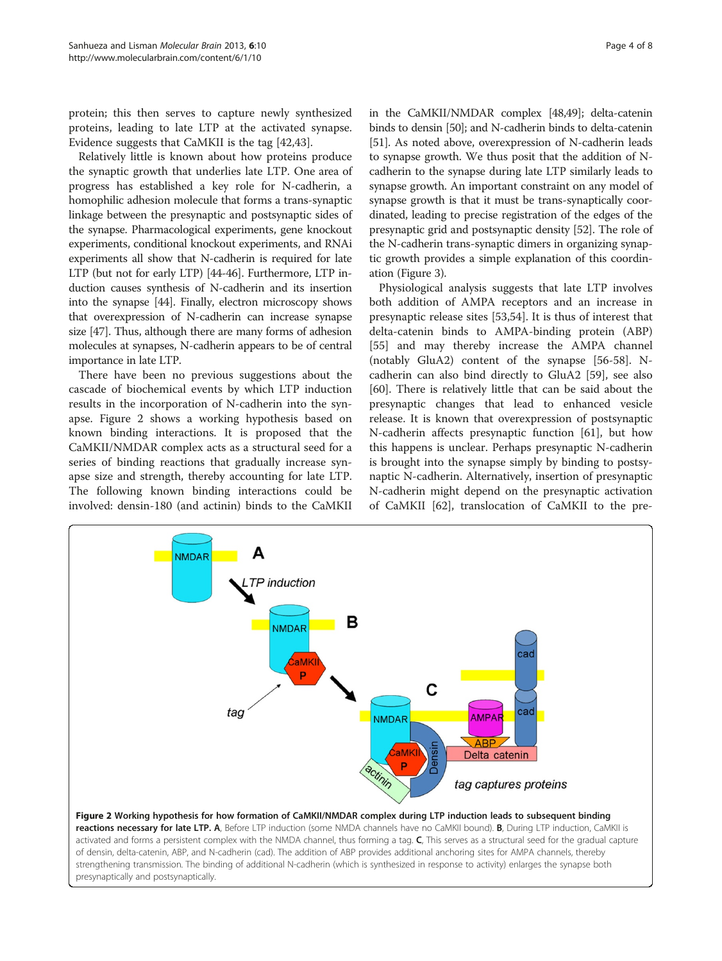<span id="page-3-0"></span>protein; this then serves to capture newly synthesized proteins, leading to late LTP at the activated synapse. Evidence suggests that CaMKII is the tag [\[42,43\]](#page-7-0).

Relatively little is known about how proteins produce the synaptic growth that underlies late LTP. One area of progress has established a key role for N-cadherin, a homophilic adhesion molecule that forms a trans-synaptic linkage between the presynaptic and postsynaptic sides of the synapse. Pharmacological experiments, gene knockout experiments, conditional knockout experiments, and RNAi experiments all show that N-cadherin is required for late LTP (but not for early LTP) [[44](#page-7-0)-[46](#page-7-0)]. Furthermore, LTP induction causes synthesis of N-cadherin and its insertion into the synapse [\[44\]](#page-7-0). Finally, electron microscopy shows that overexpression of N-cadherin can increase synapse size [\[47](#page-7-0)]. Thus, although there are many forms of adhesion molecules at synapses, N-cadherin appears to be of central importance in late LTP.

There have been no previous suggestions about the cascade of biochemical events by which LTP induction results in the incorporation of N-cadherin into the synapse. Figure 2 shows a working hypothesis based on known binding interactions. It is proposed that the CaMKII/NMDAR complex acts as a structural seed for a series of binding reactions that gradually increase synapse size and strength, thereby accounting for late LTP. The following known binding interactions could be involved: densin-180 (and actinin) binds to the CaMKII

in the CaMKII/NMDAR complex [[48,49\]](#page-7-0); delta-catenin binds to densin [[50](#page-7-0)]; and N-cadherin binds to delta-catenin [[51](#page-7-0)]. As noted above, overexpression of N-cadherin leads to synapse growth. We thus posit that the addition of Ncadherin to the synapse during late LTP similarly leads to synapse growth. An important constraint on any model of synapse growth is that it must be trans-synaptically coordinated, leading to precise registration of the edges of the presynaptic grid and postsynaptic density [\[52\]](#page-7-0). The role of the N-cadherin trans-synaptic dimers in organizing synaptic growth provides a simple explanation of this coordination (Figure [3](#page-4-0)).

Physiological analysis suggests that late LTP involves both addition of AMPA receptors and an increase in presynaptic release sites [[53,54\]](#page-7-0). It is thus of interest that delta-catenin binds to AMPA-binding protein (ABP) [[55\]](#page-7-0) and may thereby increase the AMPA channel (notably GluA2) content of the synapse [[56-58\]](#page-7-0). Ncadherin can also bind directly to GluA2 [[59](#page-7-0)], see also [[60\]](#page-7-0). There is relatively little that can be said about the presynaptic changes that lead to enhanced vesicle release. It is known that overexpression of postsynaptic N-cadherin affects presynaptic function [\[61\]](#page-7-0), but how this happens is unclear. Perhaps presynaptic N-cadherin is brought into the synapse simply by binding to postsynaptic N-cadherin. Alternatively, insertion of presynaptic N-cadherin might depend on the presynaptic activation of CaMKII [[62](#page-7-0)], translocation of CaMKII to the pre-

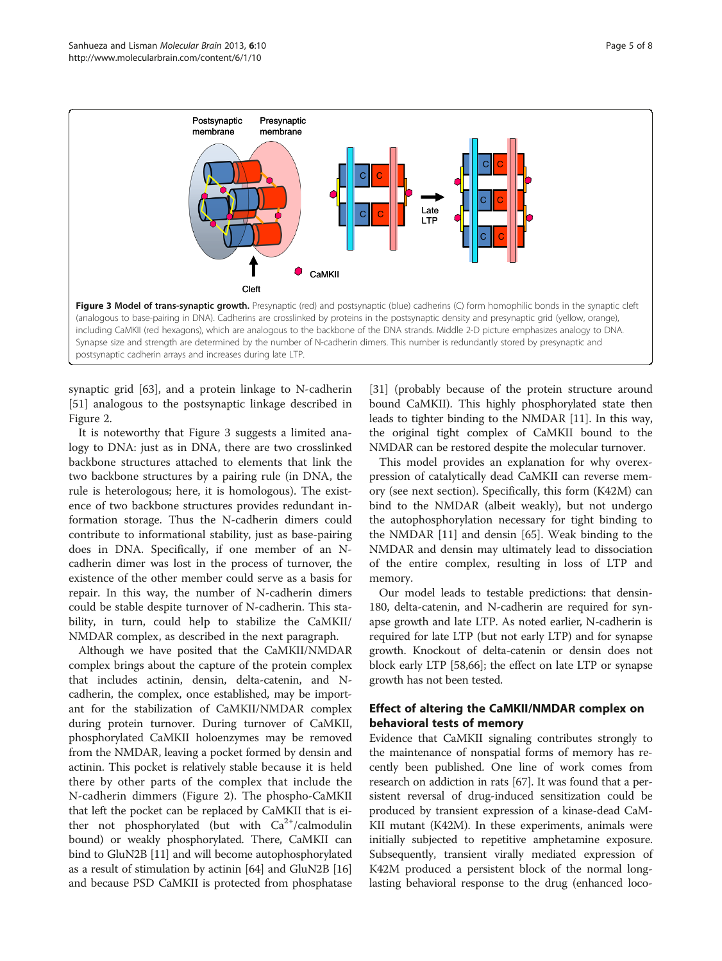<span id="page-4-0"></span>

synaptic grid [[63\]](#page-7-0), and a protein linkage to N-cadherin [[51\]](#page-7-0) analogous to the postsynaptic linkage described in Figure [2](#page-3-0).

It is noteworthy that Figure 3 suggests a limited analogy to DNA: just as in DNA, there are two crosslinked backbone structures attached to elements that link the two backbone structures by a pairing rule (in DNA, the rule is heterologous; here, it is homologous). The existence of two backbone structures provides redundant information storage. Thus the N-cadherin dimers could contribute to informational stability, just as base-pairing does in DNA. Specifically, if one member of an Ncadherin dimer was lost in the process of turnover, the existence of the other member could serve as a basis for repair. In this way, the number of N-cadherin dimers could be stable despite turnover of N-cadherin. This stability, in turn, could help to stabilize the CaMKII/ NMDAR complex, as described in the next paragraph.

Although we have posited that the CaMKII/NMDAR complex brings about the capture of the protein complex that includes actinin, densin, delta-catenin, and Ncadherin, the complex, once established, may be important for the stabilization of CaMKII/NMDAR complex during protein turnover. During turnover of CaMKII, phosphorylated CaMKII holoenzymes may be removed from the NMDAR, leaving a pocket formed by densin and actinin. This pocket is relatively stable because it is held there by other parts of the complex that include the N-cadherin dimmers (Figure [2\)](#page-3-0). The phospho-CaMKII that left the pocket can be replaced by CaMKII that is either not phosphorylated (but with  $Ca^{2+}/c$ almodulin bound) or weakly phosphorylated. There, CaMKII can bind to GluN2B [\[11\]](#page-6-0) and will become autophosphorylated as a result of stimulation by actinin [\[64](#page-7-0)] and GluN2B [[16](#page-6-0)] and because PSD CaMKII is protected from phosphatase

[[31](#page-6-0)] (probably because of the protein structure around bound CaMKII). This highly phosphorylated state then leads to tighter binding to the NMDAR [\[11\]](#page-6-0). In this way, the original tight complex of CaMKII bound to the NMDAR can be restored despite the molecular turnover.

This model provides an explanation for why overexpression of catalytically dead CaMKII can reverse memory (see next section). Specifically, this form (K42M) can bind to the NMDAR (albeit weakly), but not undergo the autophosphorylation necessary for tight binding to the NMDAR [[11](#page-6-0)] and densin [\[65](#page-7-0)]. Weak binding to the NMDAR and densin may ultimately lead to dissociation of the entire complex, resulting in loss of LTP and memory.

Our model leads to testable predictions: that densin-180, delta-catenin, and N-cadherin are required for synapse growth and late LTP. As noted earlier, N-cadherin is required for late LTP (but not early LTP) and for synapse growth. Knockout of delta-catenin or densin does not block early LTP [[58,66](#page-7-0)]; the effect on late LTP or synapse growth has not been tested.

# Effect of altering the CaMKII/NMDAR complex on behavioral tests of memory

Evidence that CaMKII signaling contributes strongly to the maintenance of nonspatial forms of memory has recently been published. One line of work comes from research on addiction in rats [[67](#page-7-0)]. It was found that a persistent reversal of drug-induced sensitization could be produced by transient expression of a kinase-dead CaM-KII mutant (K42M). In these experiments, animals were initially subjected to repetitive amphetamine exposure. Subsequently, transient virally mediated expression of K42M produced a persistent block of the normal longlasting behavioral response to the drug (enhanced loco-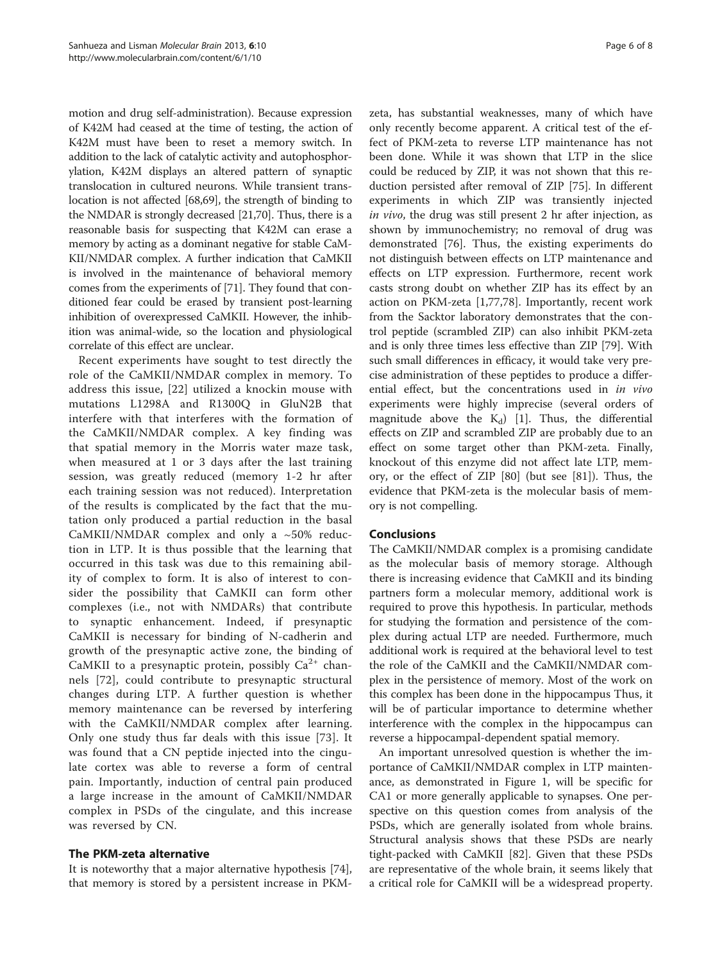motion and drug self-administration). Because expression of K42M had ceased at the time of testing, the action of K42M must have been to reset a memory switch. In addition to the lack of catalytic activity and autophosphorylation, K42M displays an altered pattern of synaptic translocation in cultured neurons. While transient translocation is not affected [[68,69\]](#page-7-0), the strength of binding to the NMDAR is strongly decreased [[21](#page-6-0)[,70\]](#page-7-0). Thus, there is a reasonable basis for suspecting that K42M can erase a memory by acting as a dominant negative for stable CaM-KII/NMDAR complex. A further indication that CaMKII is involved in the maintenance of behavioral memory comes from the experiments of [[71](#page-7-0)]. They found that conditioned fear could be erased by transient post-learning inhibition of overexpressed CaMKII. However, the inhibition was animal-wide, so the location and physiological correlate of this effect are unclear.

Recent experiments have sought to test directly the role of the CaMKII/NMDAR complex in memory. To address this issue, [[22\]](#page-6-0) utilized a knockin mouse with mutations L1298A and R1300Q in GluN2B that interfere with that interferes with the formation of the CaMKII/NMDAR complex. A key finding was that spatial memory in the Morris water maze task, when measured at 1 or 3 days after the last training session, was greatly reduced (memory 1-2 hr after each training session was not reduced). Interpretation of the results is complicated by the fact that the mutation only produced a partial reduction in the basal CaMKII/NMDAR complex and only a  $~50\%$  reduction in LTP. It is thus possible that the learning that occurred in this task was due to this remaining ability of complex to form. It is also of interest to consider the possibility that CaMKII can form other complexes (i.e., not with NMDARs) that contribute to synaptic enhancement. Indeed, if presynaptic CaMKII is necessary for binding of N-cadherin and growth of the presynaptic active zone, the binding of CaMKII to a presynaptic protein, possibly  $Ca^{2+}$  channels [\[72](#page-7-0)], could contribute to presynaptic structural changes during LTP. A further question is whether memory maintenance can be reversed by interfering with the CaMKII/NMDAR complex after learning. Only one study thus far deals with this issue [[73\]](#page-7-0). It was found that a CN peptide injected into the cingulate cortex was able to reverse a form of central pain. Importantly, induction of central pain produced a large increase in the amount of CaMKII/NMDAR complex in PSDs of the cingulate, and this increase was reversed by CN.

## The PKM-zeta alternative

It is noteworthy that a major alternative hypothesis [\[74](#page-7-0)], that memory is stored by a persistent increase in PKM-

zeta, has substantial weaknesses, many of which have only recently become apparent. A critical test of the effect of PKM-zeta to reverse LTP maintenance has not been done. While it was shown that LTP in the slice could be reduced by ZIP, it was not shown that this reduction persisted after removal of ZIP [[75](#page-7-0)]. In different experiments in which ZIP was transiently injected in vivo, the drug was still present 2 hr after injection, as shown by immunochemistry; no removal of drug was demonstrated [\[76](#page-7-0)]. Thus, the existing experiments do not distinguish between effects on LTP maintenance and effects on LTP expression. Furthermore, recent work casts strong doubt on whether ZIP has its effect by an action on PKM-zeta [[1,](#page-6-0)[77,78\]](#page-7-0). Importantly, recent work from the Sacktor laboratory demonstrates that the control peptide (scrambled ZIP) can also inhibit PKM-zeta and is only three times less effective than ZIP [\[79](#page-7-0)]. With such small differences in efficacy, it would take very precise administration of these peptides to produce a differential effect, but the concentrations used in in vivo experiments were highly imprecise (several orders of magnitude above the  $K_d$ ) [\[1\]](#page-6-0). Thus, the differential effects on ZIP and scrambled ZIP are probably due to an effect on some target other than PKM-zeta. Finally, knockout of this enzyme did not affect late LTP, memory, or the effect of ZIP [\[80](#page-7-0)] (but see [\[81](#page-7-0)]). Thus, the evidence that PKM-zeta is the molecular basis of memory is not compelling.

## **Conclusions**

The CaMKII/NMDAR complex is a promising candidate as the molecular basis of memory storage. Although there is increasing evidence that CaMKII and its binding partners form a molecular memory, additional work is required to prove this hypothesis. In particular, methods for studying the formation and persistence of the complex during actual LTP are needed. Furthermore, much additional work is required at the behavioral level to test the role of the CaMKII and the CaMKII/NMDAR complex in the persistence of memory. Most of the work on this complex has been done in the hippocampus Thus, it will be of particular importance to determine whether interference with the complex in the hippocampus can reverse a hippocampal-dependent spatial memory.

An important unresolved question is whether the importance of CaMKII/NMDAR complex in LTP maintenance, as demonstrated in Figure [1,](#page-2-0) will be specific for CA1 or more generally applicable to synapses. One perspective on this question comes from analysis of the PSDs, which are generally isolated from whole brains. Structural analysis shows that these PSDs are nearly tight-packed with CaMKII [\[82\]](#page-7-0). Given that these PSDs are representative of the whole brain, it seems likely that a critical role for CaMKII will be a widespread property.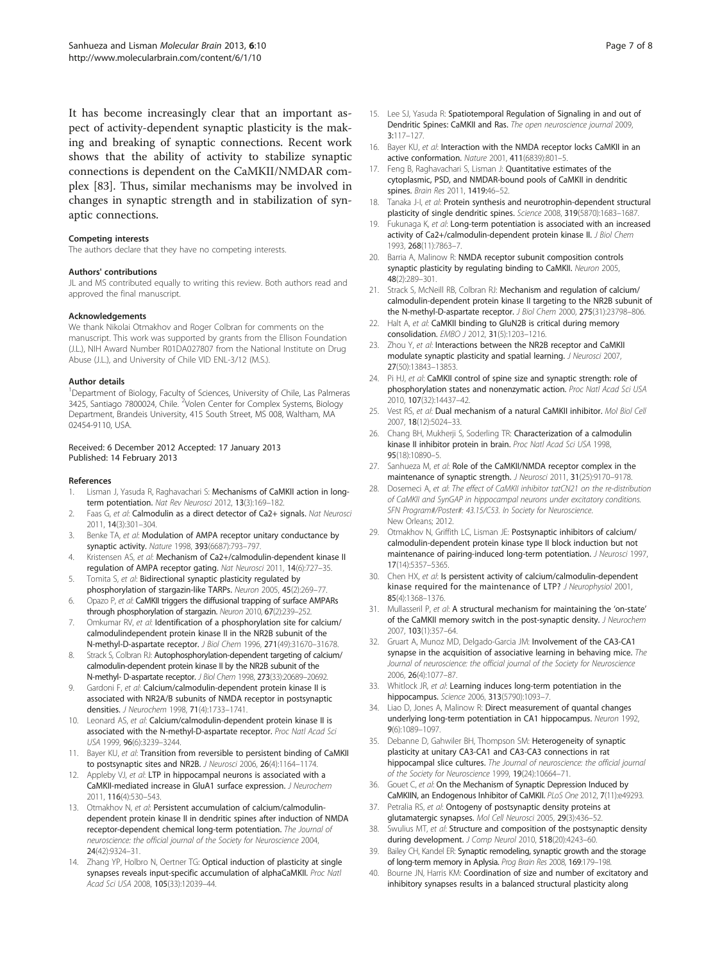<span id="page-6-0"></span>It has become increasingly clear that an important aspect of activity-dependent synaptic plasticity is the making and breaking of synaptic connections. Recent work shows that the ability of activity to stabilize synaptic connections is dependent on the CaMKII/NMDAR complex [\[83](#page-7-0)]. Thus, similar mechanisms may be involved in changes in synaptic strength and in stabilization of synaptic connections.

#### Competing interests

The authors declare that they have no competing interests.

## Authors' contributions

JL and MS contributed equally to writing this review. Both authors read and approved the final manuscript.

#### Acknowledgements

We thank Nikolai Otmakhov and Roger Colbran for comments on the manuscript. This work was supported by grants from the Ellison Foundation (J.L.), NIH Award Number R01DA027807 from the National Institute on Drug Abuse (J.L.), and University of Chile VID ENL-3/12 (M.S.).

#### Author details

<sup>1</sup>Department of Biology, Faculty of Sciences, University of Chile, Las Palmeras 3425, Santiago 7800024, Chile. <sup>2</sup>Volen Center for Complex Systems, Biology Department, Brandeis University, 415 South Street, MS 008, Waltham, MA 02454-9110, USA.

### Received: 6 December 2012 Accepted: 17 January 2013 Published: 14 February 2013

#### References

- 1. Lisman J, Yasuda R, Raghavachari S: Mechanisms of CaMKII action in longterm potentiation. Nat Rev Neurosci 2012, 13(3):169-182.
- 2. Faas G, et al: Calmodulin as a direct detector of Ca2+ signals. Nat Neurosci 2011, 14(3):301–304.
- 3. Benke TA, et al: Modulation of AMPA receptor unitary conductance by synaptic activity. Nature 1998, 393(6687):793–797.
- 4. Kristensen AS, et al: Mechanism of Ca2+/calmodulin-dependent kinase II regulation of AMPA receptor gating. Nat Neurosci 2011, 14(6):727–35.
- 5. Tomita S, et al: Bidirectional synaptic plasticity regulated by phosphorylation of stargazin-like TARPs. Neuron 2005, 45(2):269–77.
- 6. Opazo P, et al: CaMKII triggers the diffusional trapping of surface AMPARs through phosphorylation of stargazin. Neuron 2010, 67(2):239–252.
- 7. Omkumar RV, et al: Identification of a phosphorylation site for calcium/ calmodulindependent protein kinase II in the NR2B subunit of the N-methyl-D-aspartate receptor. J Biol Chem 1996, 271(49):31670–31678.
- 8. Strack S, Colbran RJ: Autophosphorylation-dependent targeting of calcium/ calmodulin-dependent protein kinase II by the NR2B subunit of the N-methyl- D-aspartate receptor. J Biol Chem 1998, 273(33):20689–20692.
- Gardoni F, et al: Calcium/calmodulin-dependent protein kinase II is associated with NR2A/B subunits of NMDA receptor in postsynaptic densities. J Neurochem 1998, 71(4):1733–1741.
- 10. Leonard AS, et al: Calcium/calmodulin-dependent protein kinase II is associated with the N-methyl-D-aspartate receptor. Proc Natl Acad Sci USA 1999, 96(6):3239–3244.
- 11. Bayer KU, et al: Transition from reversible to persistent binding of CaMKII to postsynaptic sites and NR2B. J Neurosci 2006, 26(4):1164–1174.
- 12. Appleby VJ, et al: LTP in hippocampal neurons is associated with a CaMKII-mediated increase in GluA1 surface expression. J Neurochem 2011, 116(4):530–543.
- 13. Otmakhov N, et al: Persistent accumulation of calcium/calmodulindependent protein kinase II in dendritic spines after induction of NMDA receptor-dependent chemical long-term potentiation. The Journal of neuroscience: the official journal of the Society for Neuroscience 2004, 24(42):9324–31.
- 14. Zhang YP, Holbro N, Oertner TG: Optical induction of plasticity at single synapses reveals input-specific accumulation of alphaCaMKII. Proc Natl Acad Sci USA 2008, 105(33):12039–44.
- 15. Lee SJ, Yasuda R: Spatiotemporal Regulation of Signaling in and out of Dendritic Spines: CaMKII and Ras. The open neuroscience journal 2009, 3:117–127.
- 16. Bayer KU, et al: Interaction with the NMDA receptor locks CaMKII in an active conformation. Nature 2001, 411(6839):801–5.
- 17. Feng B, Raghavachari S, Lisman J: Quantitative estimates of the cytoplasmic, PSD, and NMDAR-bound pools of CaMKII in dendritic spines. Brain Res 2011, 1419:46-52.
- 18. Tanaka J-I, et al: Protein synthesis and neurotrophin-dependent structural plasticity of single dendritic spines. Science 2008, 319(5870):1683–1687.
- 19. Fukunaga K, et al: Long-term potentiation is associated with an increased activity of Ca2+/calmodulin-dependent protein kinase II. J Biol Chem 1993, 268(11):7863–7.
- 20. Barria A, Malinow R: NMDA receptor subunit composition controls synaptic plasticity by regulating binding to CaMKII. Neuron 2005, 48(2):289–301.
- 21. Strack S, McNeill RB, Colbran RJ: Mechanism and regulation of calcium/ calmodulin-dependent protein kinase II targeting to the NR2B subunit of the N-methyl-D-aspartate receptor. J Biol Chem 2000, 275(31):23798–806.
- 22. Halt A, et al: CaMKII binding to GluN2B is critical during memory consolidation. EMBO J 2012, 31(5):1203–1216.
- 23. Zhou Y, et al: Interactions between the NR2B receptor and CaMKII modulate synaptic plasticity and spatial learning. J Neurosci 2007, 27(50):13843–13853.
- 24. Pi HJ, et al: CaMKII control of spine size and synaptic strength: role of phosphorylation states and nonenzymatic action. Proc Natl Acad Sci USA 2010, 107(32):14437–42.
- 25. Vest RS, et al: Dual mechanism of a natural CaMKII inhibitor. Mol Biol Cell 2007, 18(12):5024–33.
- 26. Chang BH, Mukherji S, Soderling TR: Characterization of a calmodulin kinase II inhibitor protein in brain. Proc Natl Acad Sci USA 1998, 95(18):10890–5.
- 27. Sanhueza M, et al: Role of the CaMKII/NMDA receptor complex in the maintenance of synaptic strength. J Neurosci 2011, 31(25):9170-9178.
- 28. Dosemeci A, et al: The effect of CaMKII inhibitor tatCN21 on the re-distribution of CaMKII and SynGAP in hippocampal neurons under excitatory conditions. SFN Program#/Poster#: 43.15/C53. In Society for Neuroscience. New Orleans; 2012.
- 29. Otmakhov N, Griffith LC, Lisman JE: Postsynaptic inhibitors of calcium/ calmodulin-dependent protein kinase type II block induction but not maintenance of pairing-induced long-term potentiation. J Neurosci 1997, 17(14):5357–5365.
- 30. Chen HX, et al: Is persistent activity of calcium/calmodulin-dependent kinase required for the maintenance of LTP? J Neurophysiol 2001, 85(4):1368–1376.
- 31. Mullasseril P, et al: A structural mechanism for maintaining the 'on-state' of the CaMKII memory switch in the post-synaptic density. J Neurochem 2007, 103(1):357–64.
- 32. Gruart A, Munoz MD, Delgado-Garcia JM: Involvement of the CA3-CA1 synapse in the acquisition of associative learning in behaving mice. The Journal of neuroscience: the official journal of the Society for Neuroscience 2006, 26(4):1077–87.
- Whitlock JR, et al: Learning induces long-term potentiation in the hippocampus. Science 2006, 313(5790):1093–7.
- 34. Liao D, Jones A, Malinow R: Direct measurement of quantal changes underlying long-term potentiation in CA1 hippocampus. Neuron 1992, 9(6):1089–1097.
- 35. Debanne D, Gahwiler BH, Thompson SM: Heterogeneity of synaptic plasticity at unitary CA3-CA1 and CA3-CA3 connections in rat hippocampal slice cultures. The Journal of neuroscience: the official journal of the Society for Neuroscience 1999, 19(24):10664–71.
- 36. Gouet C, et al: On the Mechanism of Synaptic Depression Induced by CaMKIIN, an Endogenous Inhibitor of CaMKII. PLoS One 2012, 7(11):e49293.
- 37. Petralia RS, et al: Ontogeny of postsynaptic density proteins at glutamatergic synapses. Mol Cell Neurosci 2005, 29(3):436–52.
- 38. Swulius MT, et al: Structure and composition of the postsynaptic density during development. J Comp Neurol 2010, 518(20):4243-60.
- 39. Bailey CH, Kandel ER: Synaptic remodeling, synaptic growth and the storage of long-term memory in Aplysia. Prog Brain Res 2008, 169:179–198.
- 40. Bourne JN, Harris KM: Coordination of size and number of excitatory and inhibitory synapses results in a balanced structural plasticity along